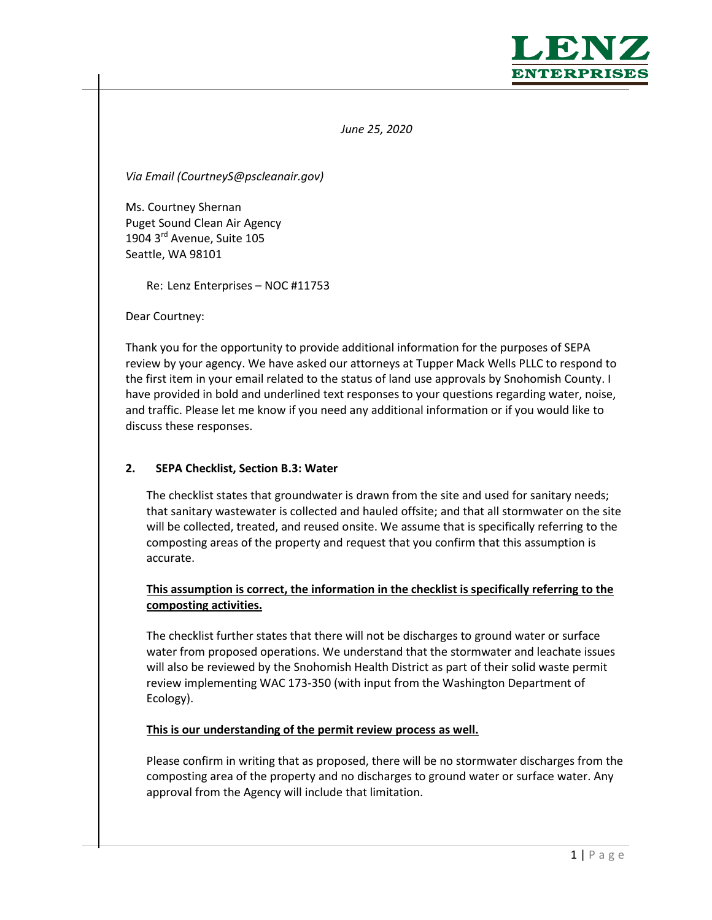

*June 25, 2020*

*Via Email (CourtneyS@pscleanair.gov)*

Ms. Courtney Shernan Puget Sound Clean Air Agency 1904 3<sup>rd</sup> Avenue, Suite 105 Seattle, WA 98101

Re: Lenz Enterprises – NOC #11753

Dear Courtney:

Thank you for the opportunity to provide additional information for the purposes of SEPA review by your agency. We have asked our attorneys at Tupper Mack Wells PLLC to respond to the first item in your email related to the status of land use approvals by Snohomish County. I have provided in bold and underlined text responses to your questions regarding water, noise, and traffic. Please let me know if you need any additional information or if you would like to discuss these responses.

#### **2. SEPA Checklist, Section B.3: Water**

The checklist states that groundwater is drawn from the site and used for sanitary needs; that sanitary wastewater is collected and hauled offsite; and that all stormwater on the site will be collected, treated, and reused onsite. We assume that is specifically referring to the composting areas of the property and request that you confirm that this assumption is accurate.

# **This assumption is correct, the information in the checklist is specifically referring to the composting activities.**

The checklist further states that there will not be discharges to ground water or surface water from proposed operations. We understand that the stormwater and leachate issues will also be reviewed by the Snohomish Health District as part of their solid waste permit review implementing WAC 173-350 (with input from the Washington Department of Ecology).

**This is our understanding of the permit review process as well.**

Please confirm in writing that as proposed, there will be no stormwater discharges from the composting area of the property and no discharges to ground water or surface water. Any approval from the Agency will include that limitation.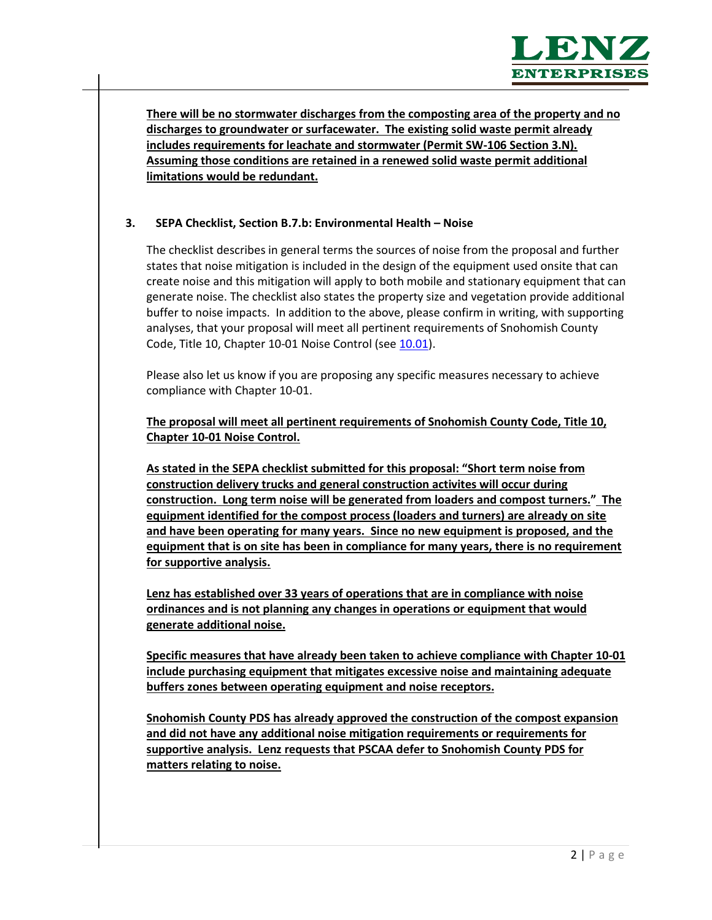

**There will be no stormwater discharges from the composting area of the property and no discharges to groundwater or surfacewater. The existing solid waste permit already includes requirements for leachate and stormwater (Permit SW-106 Section 3.N). Assuming those conditions are retained in a renewed solid waste permit additional limitations would be redundant.**

### **3. SEPA Checklist, Section B.7.b: Environmental Health – Noise**

The checklist describes in general terms the sources of noise from the proposal and further states that noise mitigation is included in the design of the equipment used onsite that can create noise and this mitigation will apply to both mobile and stationary equipment that can generate noise. The checklist also states the property size and vegetation provide additional buffer to noise impacts. In addition to the above, please confirm in writing, with supporting analyses, that your proposal will meet all pertinent requirements of Snohomish County Code, Title 10, Chapter 10-01 Noise Control (see [10.01\)](https://snohomish.county.codes/SCC/10.01).

Please also let us know if you are proposing any specific measures necessary to achieve compliance with Chapter 10-01.

**The proposal will meet all pertinent requirements of Snohomish County Code, Title 10, Chapter 10-01 Noise Control.** 

**As stated in the SEPA checklist submitted for this proposal: "Short term noise from construction delivery trucks and general construction activites will occur during construction. Long term noise will be generated from loaders and compost turners." The equipment identified for the compost process (loaders and turners) are already on site and have been operating for many years. Since no new equipment is proposed, and the equipment that is on site has been in compliance for many years, there is no requirement for supportive analysis.**

**Lenz has established over 33 years of operations that are in compliance with noise ordinances and is not planning any changes in operations or equipment that would generate additional noise.** 

**Specific measures that have already been taken to achieve compliance with Chapter 10-01 include purchasing equipment that mitigates excessive noise and maintaining adequate buffers zones between operating equipment and noise receptors.**

**Snohomish County PDS has already approved the construction of the compost expansion and did not have any additional noise mitigation requirements or requirements for supportive analysis. Lenz requests that PSCAA defer to Snohomish County PDS for matters relating to noise.**